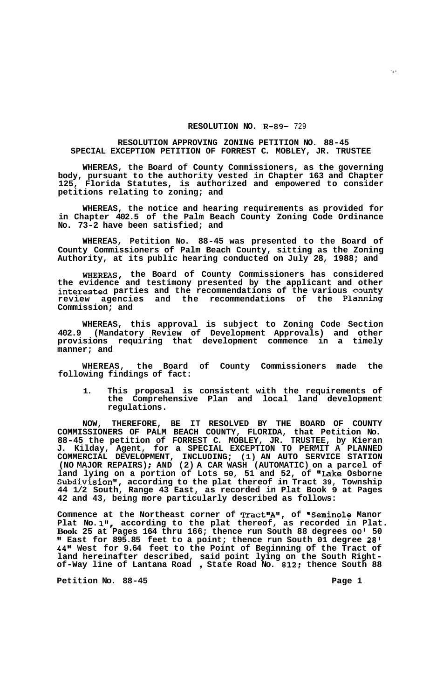## **RESOLUTION NO. R-89-** 729

## **RESOLUTION APPROVING ZONING PETITION NO. 88-45 SPECIAL EXCEPTION PETITION OF FORREST C. MOBLEY, JR. TRUSTEE**

**WHEREAS, the Board of County Commissioners, as the governing body, pursuant to the authority vested in Chapter 163 and Chapter 125, Florida Statutes, is authorized and empowered to consider petitions relating to zoning; and** 

**WHEREAS, the notice and hearing requirements as provided for in Chapter 402.5 of the Palm Beach County Zoning Code Ordinance No. 73-2 have been satisfied; and** 

**WHEREAS, Petition No. 88-45 was presented to the Board of County Commissioners of Palm Beach County, sitting as the Zoning Authority, at its public hearing conducted on July 28, 1988; and** 

**WHEREAS, the Board of County Commissioners has considered the evidence and testimony presented by the applicant and other interested parties and the recommendations of the various County review agencies and the recommendations of the Planning Commission; and** 

**WHEREAS, this approval is subject to Zoning Code Section 402.9 (Mandatory Review of Development Approvals) and other provisions requiring that development commence in a timely manner; and** 

**WHEREAS, the Board of County Commissioners made the following findings of fact:** 

**1. This proposal is consistent with the requirements of the Comprehensive Plan and local land development regulations.** 

**NOW, THEREFORE, BE IT RESOLVED BY THE BOARD OF COUNTY COMMISSIONERS OF PALM BEACH COUNTY, FLORIDA, that Petition No. 88-45 the petition of FORREST C. MOBLEY, JR. TRUSTEE, by Kieran J. Kilday, Agent, for a SPECIAL EXCEPTION TO PERMIT A PLANNED COMMERCIAL DEVELOPMENT, INCLUDING; (1) AN AUTO SERVICE STATION (NO MAJOR REPAIRS)** ; **AND (2) A CAR WASH (AUTOMATIC) on a parcel of land lying on a portion of Lots 50, 51 and 52, of "Lake Osborne**  Subdivision", according to the plat thereof in Tract 39, Township **44 1/2 South, Range 43 East, as recorded in Plat Book 9 at Pages 42 and 43, being more particularly described as follows:** 

Commence at the Northeast corner of Tract"A", of "Seminole Manor Plat No.1", according to the plat thereof, as recorded in Plat. **Book 25 at Pages 164 thru 166; thence run South 88 degrees** *00'* **50 It East for 895.85 feet to a point; thence run South 01 degree 28' 44" West for 9.64 feet to the Point of Beginning of the Tract of land hereinafter described, said point lying on the South Right- of-Way line of Lantana Road** , **State Road No. 812: thence South 88** 

Petition No. 88-45 **Page 1 Page 1**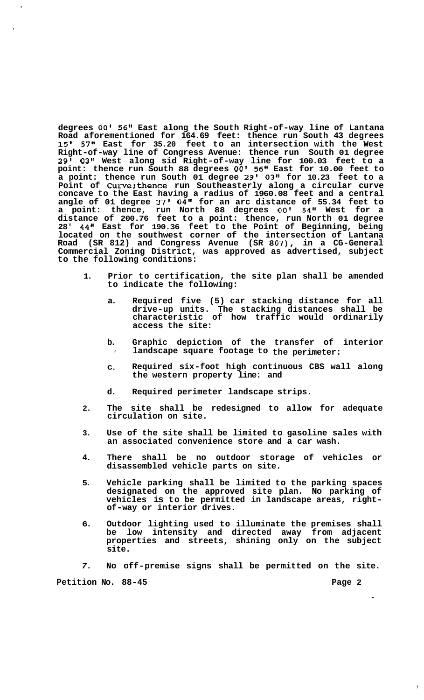**degrees** *00'* **56" East along the South Right-of-way line of Lantana Road aforementioned for 164.69 feet: thence run South 43 degrees 15' 57" East for 35.20 feet to an intersection with the West Right-of-way line of Congress Avenue: thence run South 01 degree 29' 03" West along sid Right-of-way line for 100.03 feet to a point: thence run South 88 degrees** *00'* **56" East for 10.00 feet to a point: thence run South 01 degree 29' 03" for 10.23 feet to a Point of Curve:thence run Southeasterly along a circular curve concave to the East having a radius of 1960.08 feet and a central angle of 01 degree 37' 04'' for an arc distance of 55.34 feet to a point: thence, run North 88 degrees** *00'* **54" West for a distance of 200.76 feet to a point: thence, run North 01 degree 28' 44" East for 190.36 feet to the Point of Beginning, being located on the southwest corner of the intersection of Lantana Road (SR 812) and Congress Avenue (SR 807), in a CG-General Commercial Zoning District, was approved as advertised, subject to the following conditions:** 

- **1. Prior to certification, the site plan shall be amended to indicate the following:** 
	- **a. Required five (5) car stacking distance for all drive-up units. The stacking distances shall be characteristic of how traffic would ordinarily access the site:**
	- **b.**  / **Graphic depiction of the transfer of interior landscape square footage to the perimeter:**
	- **C. Required six-foot high continuous CBS wall along the western property line: and**
	- **d. Required perimeter landscape strips.**
- **2. The site shall be redesigned** - **to allow for adequate circulation on site.**
- **3. Use of the site shall be limited to gasoline sales with an associated convenience store and a car wash.**
- **4. There shall be no outdoor storage of vehicles or disassembled vehicle parts on site.**
- **5. Vehicle parking shall be limited to the parking spaces designated on the approved site plan. No parking of vehicles is to be permitted in landscape areas, right- of-way or interior drives.**
- **6. Outdoor lighting used to illuminate the premises shall be low intensity and directed away from adjacent properties and streets, shining only on the subject site.**
- *7.*  **No off-premise signs shall be permitted on the site.**

Petition No. 88-45 **Page 2 Page 2** 

 $\mathbf{I}$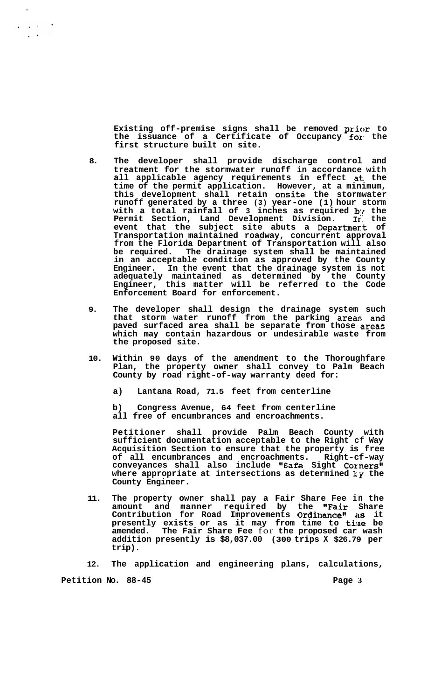Existing off-premise signs shall be removed prior to **the issuance of a Certificate of Occupancy fox, the first structure built on site.** 

- **8. The developer shall provide discharge control and treatment for the stormwater runoff in accordance with all applicable agency requirements in effect at: the time of the permit application. However, at a minimum, this development shall retain onsite the stormwater runoff generated by a three (3) year-one (1) hour storm with a total rainfall of 3 inches as required** *b{* **the Permit Section, Land Development Division. In the event that the subject site abuts a Departmert of Transportation maintained roadway, concurrent approval from the Florida Department of Transportation will also be required. The drainage system shall be maintained in an acceptable condition as approved by the County Engineer. In the event that the drainage system is not adequately maintained as determined by the County Engineer, this matter will be referred to the Code Enforcement Board for enforcement.**
- **9. The developer shall design the drainage system such that storm water runoff from the parking area:; and paved surfaced area shall be separate from those areas which may contain hazardous or undesirable waste from the proposed site.**
- **10. Within 90 days of the amendment to the Thoroughfare Plan, the property owner shall convey to Palm Beach County by road right-of-way warranty deed for:** 
	- **a) Lantana Road, 71.5 feet from centerline**
	- **b) Congress Avenue, 64 feet from centerline all free of encumbrances and encroachments.**

**Petitioner shall provide Palm Beach County with sufficient documentation acceptable to the Right cf Way Acquisition Section to ensure that the property is free of all encumbrances and encroachments. Right-cf-way conveyances shall also include IlSafe Sight Corners" where appropriate at intersections as determined ty the County Engineer.** 

**11. The property owner shall pay a Fair Share Fee in the amount and manner required by the "Fair Share Contribution for Road Improvements Ordinance"** as it **presently exists or as it may from time to ti!ne be amended. The Fair Share Fee** for **the proposed car wash addition presently is \$8,037.00 (300 trips X \$26.79 per trip).** 

**12. The application and engineering plans, calculations,** 

**Petition No.** 88-45 **Page 3 Page 3** 

 $\mathbf{r}=(\mathbf{x}^1,\mathbf{y}^2,\ldots,\mathbf{y}^K)$  $\mathbb{R}^{\mathbb{Z}^2}$